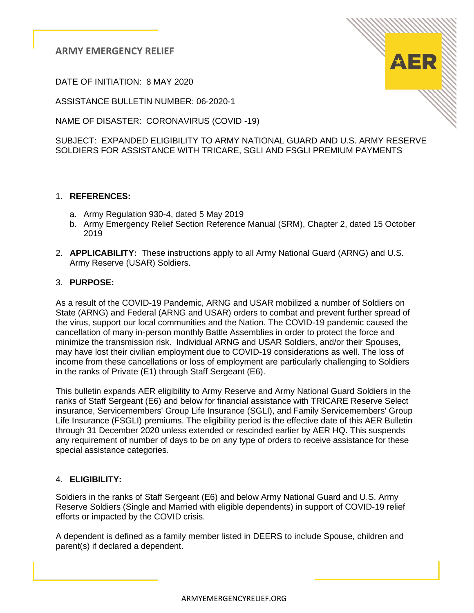DATE OF INITIATION: 8 MAY 2020

ASSISTANCE BULLETIN NUMBER: 06-2020-1

NAME OF DISASTER: CORONAVIRUS (COVID -19)

SUBJECT: EXPANDED ELIGIBILITY TO ARMY NATIONAL GUARD AND U.S. ARMY RESERVE SOLDIERS FOR ASSISTANCE WITH TRICARE, SGLI AND FSGLI PREMIUM PAYMENTS

## 1. **REFERENCES:**

- a. Army Regulation 930-4, dated 5 May 2019
- b. Army Emergency Relief Section Reference Manual (SRM), Chapter 2, dated 15 October 2019
- 2. **APPLICABILITY:** These instructions apply to all Army National Guard (ARNG) and U.S. Army Reserve (USAR) Soldiers.

## 3. **PURPOSE:**

As a result of the COVID-19 Pandemic, ARNG and USAR mobilized a number of Soldiers on State (ARNG) and Federal (ARNG and USAR) orders to combat and prevent further spread of the virus, support our local communities and the Nation. The COVID-19 pandemic caused the cancellation of many in-person monthly Battle Assemblies in order to protect the force and minimize the transmission risk. Individual ARNG and USAR Soldiers, and/or their Spouses, may have lost their civilian employment due to COVID-19 considerations as well. The loss of income from these cancellations or loss of employment are particularly challenging to Soldiers in the ranks of Private (E1) through Staff Sergeant (E6).

This bulletin expands AER eligibility to Army Reserve and Army National Guard Soldiers in the ranks of Staff Sergeant (E6) and below for financial assistance with TRICARE Reserve Select insurance, Servicemembers' Group Life Insurance (SGLI), and Family Servicemembers' Group Life Insurance (FSGLI) premiums. The eligibility period is the effective date of this AER Bulletin through 31 December 2020 unless extended or rescinded earlier by AER HQ. This suspends any requirement of number of days to be on any type of orders to receive assistance for these special assistance categories.

## 4. **ELIGIBILITY:**

Soldiers in the ranks of Staff Sergeant (E6) and below Army National Guard and U.S. Army Reserve Soldiers (Single and Married with eligible dependents) in support of COVID-19 relief efforts or impacted by the COVID crisis.

A dependent is defined as a family member listed in DEERS to include Spouse, children and parent(s) if declared a dependent.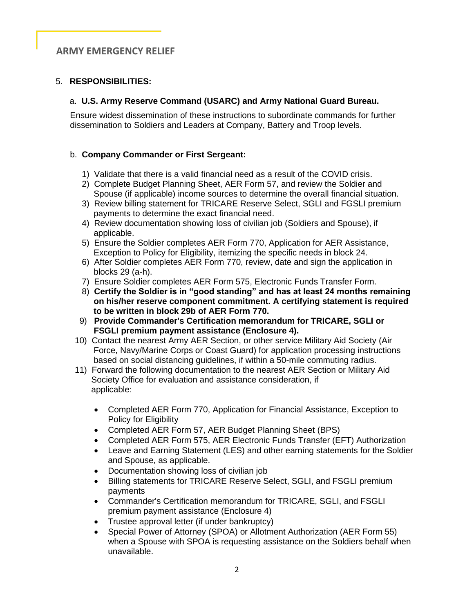### 5. **RESPONSIBILITIES:**

### a. **U.S. Army Reserve Command (USARC) and Army National Guard Bureau.**

 Ensure widest dissemination of these instructions to subordinate commands for further dissemination to Soldiers and Leaders at Company, Battery and Troop levels.

### b. **Company Commander or First Sergeant:**

- 1) Validate that there is a valid financial need as a result of the COVID crisis.
- 2) Complete Budget Planning Sheet, AER Form 57, and review the Soldier and Spouse (if applicable) income sources to determine the overall financial situation.
- 3) Review billing statement for TRICARE Reserve Select, SGLI and FGSLI premium payments to determine the exact financial need.
- 4) Review documentation showing loss of civilian job (Soldiers and Spouse), if applicable.
- 5) Ensure the Soldier completes AER Form 770, Application for AER Assistance, Exception to Policy for Eligibility, itemizing the specific needs in block 24.
- 6) After Soldier completes AER Form 770, review, date and sign the application in blocks 29 (a-h).
- 7) Ensure Soldier completes AER Form 575, Electronic Funds Transfer Form.
- 8) **Certify the Soldier is in "good standing" and has at least 24 months remaining on his/her reserve component commitment. A certifying statement is required to be written in block 29b of AER Form 770.**
- 9) **Provide Commander's Certification memorandum for TRICARE, SGLI or FSGLI premium payment assistance (Enclosure 4).**
- 10) Contact the nearest Army AER Section, or other service Military Aid Society (Air Force, Navy/Marine Corps or Coast Guard) for application processing instructions based on social distancing guidelines, if within a 50-mile commuting radius.
- 11) Forward the following documentation to the nearest AER Section or Military Aid Society Office for evaluation and assistance consideration, if applicable:
	- Completed AER Form 770, Application for Financial Assistance, Exception to Policy for Eligibility
	- Completed AER Form 57, AER Budget Planning Sheet (BPS)
	- Completed AER Form 575, AER Electronic Funds Transfer (EFT) Authorization
	- Leave and Earning Statement (LES) and other earning statements for the Soldier and Spouse, as applicable.
	- Documentation showing loss of civilian job
	- Billing statements for TRICARE Reserve Select, SGLI, and FSGLI premium payments
	- Commander's Certification memorandum for TRICARE, SGLI, and FSGLI premium payment assistance (Enclosure 4)
	- Trustee approval letter (if under bankruptcy)
	- Special Power of Attorney (SPOA) or Allotment Authorization (AER Form 55) when a Spouse with SPOA is requesting assistance on the Soldiers behalf when unavailable.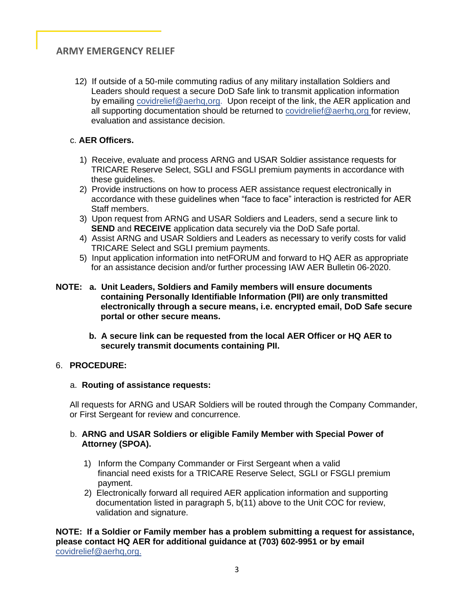12) If outside of a 50-mile commuting radius of any military installation Soldiers and Leaders should request a secure DoD Safe link to transmit application information by emailing covidrelief@aerhq,org. Upon receipt of the link, the AER application and all supporting documentation should be returned to covidrelief@aerhq,org for review, evaluation and assistance decision.

## c. **AER Officers.**

- 1) Receive, evaluate and process ARNG and USAR Soldier assistance requests for TRICARE Reserve Select, SGLI and FSGLI premium payments in accordance with these guidelines.
- 2) Provide instructions on how to process AER assistance request electronically in accordance with these guidelines when "face to face" interaction is restricted for AER Staff members.
- 3) Upon request from ARNG and USAR Soldiers and Leaders, send a secure link to **SEND** and **RECEIVE** application data securely via the DoD Safe portal.
- 4) Assist ARNG and USAR Soldiers and Leaders as necessary to verify costs for valid TRICARE Select and SGLI premium payments.
- 5) Input application information into netFORUM and forward to HQ AER as appropriate for an assistance decision and/or further processing IAW AER Bulletin 06-2020.
- **NOTE: a. Unit Leaders, Soldiers and Family members will ensure documents containing Personally Identifiable Information (PII) are only transmitted electronically through a secure means, i.e. encrypted email, DoD Safe secure portal or other secure means.**
	- **b. A secure link can be requested from the local AER Officer or HQ AER to securely transmit documents containing PII.**

### 6. **PROCEDURE:**

### a. **Routing of assistance requests:**

All requests for ARNG and USAR Soldiers will be routed through the Company Commander, or First Sergeant for review and concurrence.

### b. **ARNG and USAR Soldiers or eligible Family Member with Special Power of Attorney (SPOA).**

- 1) Inform the Company Commander or First Sergeant when a valid financial need exists for a TRICARE Reserve Select, SGLI or FSGLI premium payment.
- 2) Electronically forward all required AER application information and supporting documentation listed in paragraph 5, b(11) above to the Unit COC for review, validation and signature.

**NOTE: If a Soldier or Family member has a problem submitting a request for assistance, please contact HQ AER for additional guidance at (703) 602-9951 or by email** covidrelief@aerhq,org.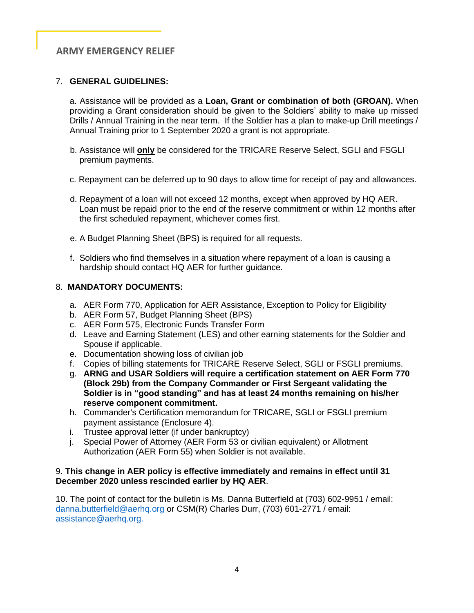### 7. **GENERAL GUIDELINES:**

a. Assistance will be provided as a **Loan, Grant or combination of both (GROAN).** When providing a Grant consideration should be given to the Soldiers' ability to make up missed Drills / Annual Training in the near term. If the Soldier has a plan to make-up Drill meetings / Annual Training prior to 1 September 2020 a grant is not appropriate.

- b. Assistance will **only** be considered for the TRICARE Reserve Select, SGLI and FSGLI premium payments.
- c. Repayment can be deferred up to 90 days to allow time for receipt of pay and allowances.
- d. Repayment of a loan will not exceed 12 months, except when approved by HQ AER. Loan must be repaid prior to the end of the reserve commitment or within 12 months after the first scheduled repayment, whichever comes first.
- e. A Budget Planning Sheet (BPS) is required for all requests.
- f. Soldiers who find themselves in a situation where repayment of a loan is causing a hardship should contact HQ AER for further guidance.

#### 8. **MANDATORY DOCUMENTS:**

- a. AER Form 770, Application for AER Assistance, Exception to Policy for Eligibility
- b. AER Form 57, Budget Planning Sheet (BPS)
- c. AER Form 575, Electronic Funds Transfer Form
- d. Leave and Earning Statement (LES) and other earning statements for the Soldier and Spouse if applicable.
- e. Documentation showing loss of civilian job
- f. Copies of billing statements for TRICARE Reserve Select, SGLI or FSGLI premiums.
- g. **ARNG and USAR Soldiers will require a certification statement on AER Form 770 (Block 29b) from the Company Commander or First Sergeant validating the Soldier is in "good standing" and has at least 24 months remaining on his/her reserve component commitment.**
- h. Commander's Certification memorandum for TRICARE, SGLI or FSGLI premium payment assistance (Enclosure 4).
- i. Trustee approval letter (if under bankruptcy)
- j. Special Power of Attorney (AER Form 53 or civilian equivalent) or Allotment Authorization (AER Form 55) when Soldier is not available.

#### 9. **This change in AER policy is effective immediately and remains in effect until 31 December 2020 unless rescinded earlier by HQ AER**.

10. The point of contact for the bulletin is Ms. Danna Butterfield at (703) 602-9951 / email: [danna.butterfield@aerhq.org](mailto:danna.butterfield@aerhq.org) or CSM(R) Charles Durr, (703) 601-2771 / email: [assistance@aerhq.org.](mailto:assistance@aerhq.org)